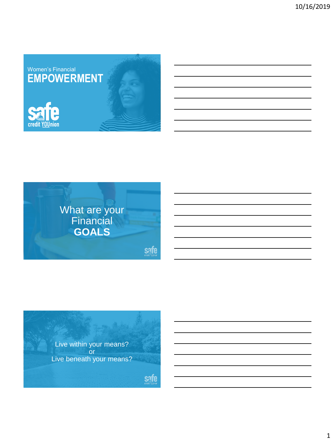



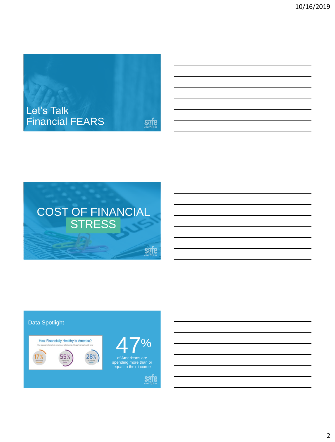



## Data Spotlight

How Financially Healthy Is America?





spending more than or equal to their income



2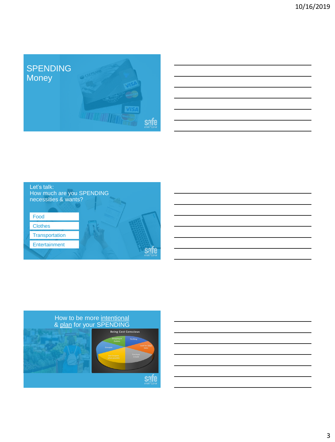







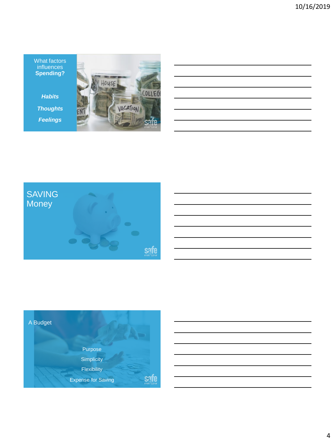What factors influences **Spending?**

*Habits Thoughts Feelings*





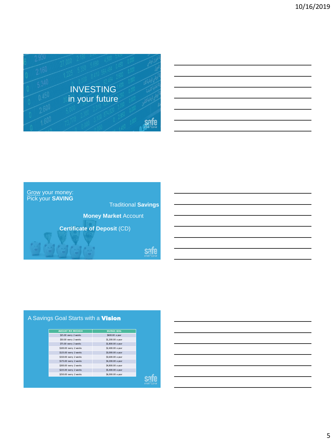





afe

## A Savings Goal Starts with a **Vision**

| AMOUNT PER PAYCHECK<br>SAVINGS GOAL<br>\$25.00 every 2 weeks<br>\$600.00 a year<br>\$50.00 every 2 weeks<br>\$1,200.00 a year<br>\$75.00 every 2 weeks<br>\$1,800.00 a year<br>\$100.00 every 2 weeks<br>\$2,400.00 a year<br>\$125.00 every 2 weeks<br>\$3,000.00 a year<br>\$150.00 every 2 weeks<br>\$3,600.00 a year<br>\$175.00 every 2 weeks<br>\$4,200.00 a year<br>\$200.00 every 2 weeks<br>\$4,800.00 a year<br>\$225.00 every 2 weeks<br>\$5,400.00 a year<br>\$250.00 every 2 weeks<br>\$6,000.00 a year |  |
|----------------------------------------------------------------------------------------------------------------------------------------------------------------------------------------------------------------------------------------------------------------------------------------------------------------------------------------------------------------------------------------------------------------------------------------------------------------------------------------------------------------------|--|
|                                                                                                                                                                                                                                                                                                                                                                                                                                                                                                                      |  |
|                                                                                                                                                                                                                                                                                                                                                                                                                                                                                                                      |  |
|                                                                                                                                                                                                                                                                                                                                                                                                                                                                                                                      |  |
|                                                                                                                                                                                                                                                                                                                                                                                                                                                                                                                      |  |
|                                                                                                                                                                                                                                                                                                                                                                                                                                                                                                                      |  |
|                                                                                                                                                                                                                                                                                                                                                                                                                                                                                                                      |  |
|                                                                                                                                                                                                                                                                                                                                                                                                                                                                                                                      |  |
|                                                                                                                                                                                                                                                                                                                                                                                                                                                                                                                      |  |
|                                                                                                                                                                                                                                                                                                                                                                                                                                                                                                                      |  |
|                                                                                                                                                                                                                                                                                                                                                                                                                                                                                                                      |  |
|                                                                                                                                                                                                                                                                                                                                                                                                                                                                                                                      |  |
|                                                                                                                                                                                                                                                                                                                                                                                                                                                                                                                      |  |
|                                                                                                                                                                                                                                                                                                                                                                                                                                                                                                                      |  |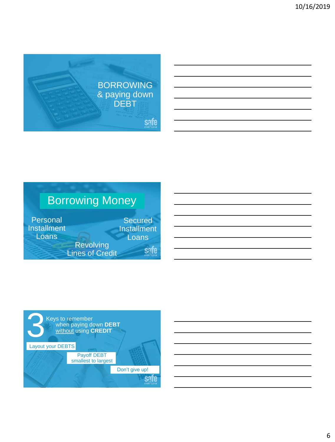





6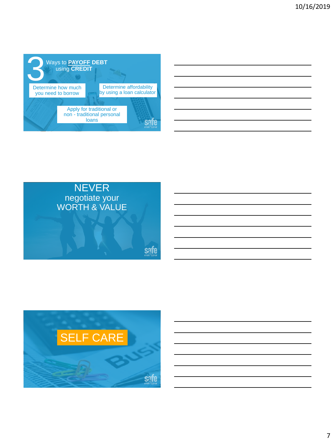